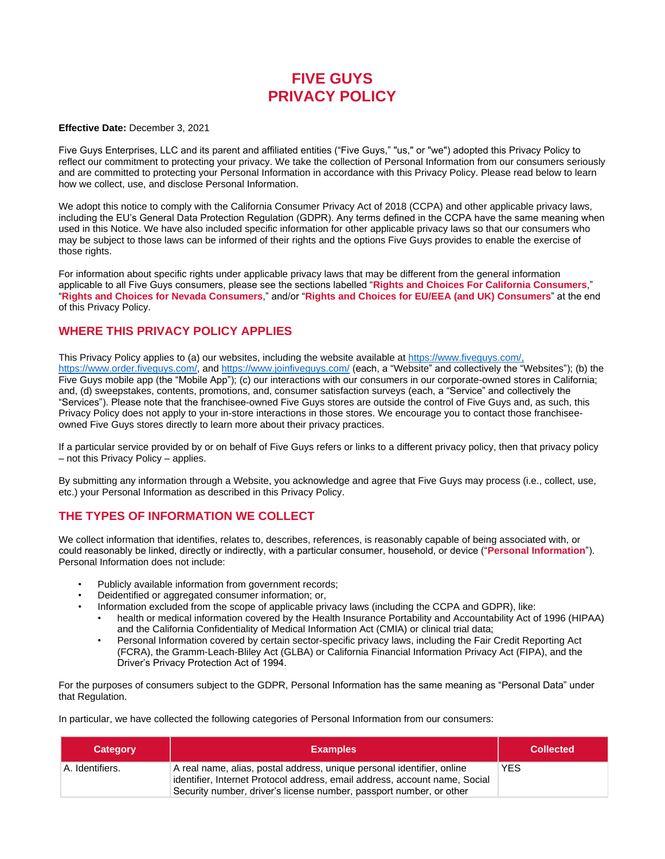# **FIVE GUYS PRIVACY POLICY**

#### **Effective Date:** December 3, 2021

Five Guys Enterprises, LLC and its parent and affiliated entities ("Five Guys," "us," or "we") adopted this Privacy Policy to reflect our commitment to protecting your privacy. We take the collection of Personal Information from our consumers seriously and are committed to protecting your Personal Information in accordance with this Privacy Policy. Please read below to learn how we collect, use, and disclose Personal Information.

We adopt this notice to comply with the California Consumer Privacy Act of 2018 (CCPA) and other applicable privacy laws, including the EU's General Data Protection Regulation (GDPR). Any terms defined in the CCPA have the same meaning when used in this Notice. We have also included specific information for other applicable privacy laws so that our consumers who may be subject to those laws can be informed of their rights and the options Five Guys provides to enable the exercise of those rights.

For information about specific rights under applicable privacy laws that may be different from the general information applicable to all Five Guys consumers, please see the sections labelled "**Rights and Choices For California Consumers**," "**Rights and Choices for Nevada Consumers**," and/or "**Rights and Choices for EU/EEA (and UK) Consumers**" at the end of this Privacy Policy.

# **WHERE THIS PRIVACY POLICY APPLIES**

This Privacy Policy applies to (a) our websites, including the website available at [https://www.fiveguys.com/,](https://www.fiveguys.com/) [https://www.order.fiveguys.com/,](https://www.order.fiveguys.com/) and https://www.joinfiveguys.com/ (each, a "Website" and collectively the "Websites"); (b) the Five Guys mobile app (the "Mobile App"); (c) our interactions with our consumers in our corporate-owned stores in California; and, (d) sweepstakes, contents, promotions, and, consumer satisfaction surveys (each, a "Service" and collectively the "Services"). Please note that the franchisee-owned Five Guys stores are outside the control of Five Guys and, as such, this Privacy Policy does not apply to your in-store interactions in those stores. We encourage you to contact those franchiseeowned Five Guys stores directly to learn more about their privacy practices.

If a particular service provided by or on behalf of Five Guys refers or links to a different privacy policy, then that privacy policy – not this Privacy Policy – applies.

By submitting any information through a Website, you acknowledge and agree that Five Guys may process (i.e., collect, use, etc.) your Personal Information as described in this Privacy Policy.

# **THE TYPES OF INFORMATION WE COLLECT**

We collect information that identifies, relates to, describes, references, is reasonably capable of being associated with, or could reasonably be linked, directly or indirectly, with a particular consumer, household, or device ("**Personal Information**"). Personal Information does not include:

- Publicly available information from government records;
- Deidentified or aggregated consumer information; or,
	- Information excluded from the scope of applicable privacy laws (including the CCPA and GDPR), like:
	- health or medical information covered by the Health Insurance Portability and Accountability Act of 1996 (HIPAA) and the California Confidentiality of Medical Information Act (CMIA) or clinical trial data;
	- Personal Information covered by certain sector-specific privacy laws, including the Fair Credit Reporting Act (FCRA), the Gramm-Leach-Bliley Act (GLBA) or California Financial Information Privacy Act (FIPA), and the Driver's Privacy Protection Act of 1994.

For the purposes of consumers subject to the GDPR, Personal Information has the same meaning as "Personal Data" under that Regulation.

In particular, we have collected the following categories of Personal Information from our consumers:

| <b>Category</b> | <b>Examples</b>                                                                                                                                                                                                             | <b>Collected</b> |
|-----------------|-----------------------------------------------------------------------------------------------------------------------------------------------------------------------------------------------------------------------------|------------------|
| A. Identifiers. | A real name, alias, postal address, unique personal identifier, online<br>identifier, Internet Protocol address, email address, account name, Social<br>Security number, driver's license number, passport number, or other | <b>YES</b>       |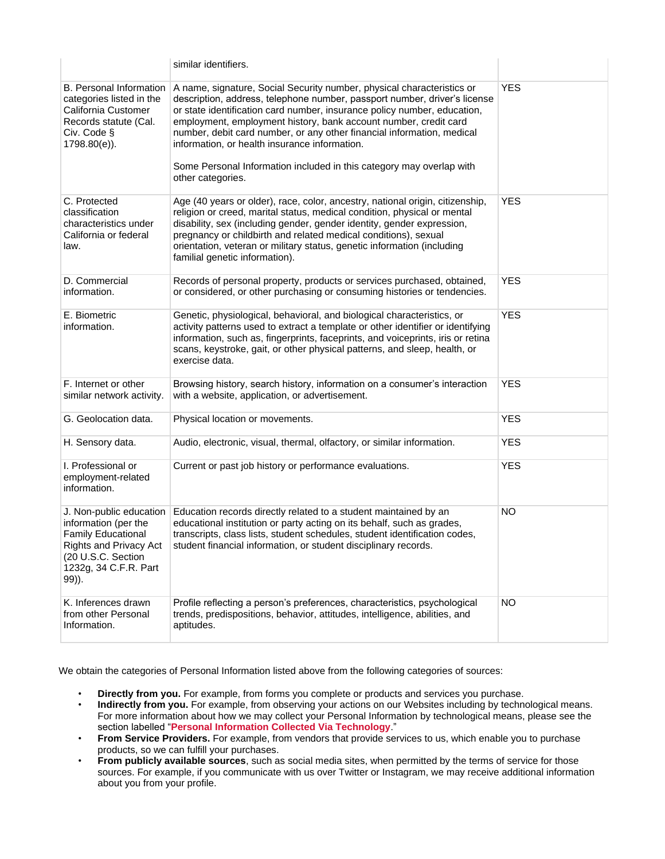|                                                                                                                                                                | similar identifiers.                                                                                                                                                                                                                                                                                                                                                                                                                                                                                                        |            |
|----------------------------------------------------------------------------------------------------------------------------------------------------------------|-----------------------------------------------------------------------------------------------------------------------------------------------------------------------------------------------------------------------------------------------------------------------------------------------------------------------------------------------------------------------------------------------------------------------------------------------------------------------------------------------------------------------------|------------|
| <b>B.</b> Personal Information<br>categories listed in the<br>California Customer<br>Records statute (Cal.<br>Civ. Code §<br>1798.80(e)).                      | A name, signature, Social Security number, physical characteristics or<br>description, address, telephone number, passport number, driver's license<br>or state identification card number, insurance policy number, education,<br>employment, employment history, bank account number, credit card<br>number, debit card number, or any other financial information, medical<br>information, or health insurance information.<br>Some Personal Information included in this category may overlap with<br>other categories. | <b>YES</b> |
| C. Protected<br>classification<br>characteristics under<br>California or federal<br>law.                                                                       | Age (40 years or older), race, color, ancestry, national origin, citizenship,<br>religion or creed, marital status, medical condition, physical or mental<br>disability, sex (including gender, gender identity, gender expression,<br>pregnancy or childbirth and related medical conditions), sexual<br>orientation, veteran or military status, genetic information (including<br>familial genetic information).                                                                                                         | <b>YES</b> |
| D. Commercial<br>information.                                                                                                                                  | Records of personal property, products or services purchased, obtained,<br>or considered, or other purchasing or consuming histories or tendencies.                                                                                                                                                                                                                                                                                                                                                                         | <b>YES</b> |
| E. Biometric<br>information.                                                                                                                                   | Genetic, physiological, behavioral, and biological characteristics, or<br>activity patterns used to extract a template or other identifier or identifying<br>information, such as, fingerprints, faceprints, and voiceprints, iris or retina<br>scans, keystroke, gait, or other physical patterns, and sleep, health, or<br>exercise data.                                                                                                                                                                                 | <b>YES</b> |
| F. Internet or other<br>similar network activity.                                                                                                              | Browsing history, search history, information on a consumer's interaction<br>with a website, application, or advertisement.                                                                                                                                                                                                                                                                                                                                                                                                 | <b>YES</b> |
| G. Geolocation data.                                                                                                                                           | Physical location or movements.                                                                                                                                                                                                                                                                                                                                                                                                                                                                                             | <b>YES</b> |
| H. Sensory data.                                                                                                                                               | Audio, electronic, visual, thermal, olfactory, or similar information.                                                                                                                                                                                                                                                                                                                                                                                                                                                      | <b>YES</b> |
| I. Professional or<br>employment-related<br>information.                                                                                                       | Current or past job history or performance evaluations.                                                                                                                                                                                                                                                                                                                                                                                                                                                                     | <b>YES</b> |
| J. Non-public education<br>information (per the<br><b>Family Educational</b><br>Rights and Privacy Act<br>(20 U.S.C. Section<br>1232g, 34 C.F.R. Part<br>99)). | Education records directly related to a student maintained by an<br>educational institution or party acting on its behalf, such as grades,<br>transcripts, class lists, student schedules, student identification codes,<br>student financial information, or student disciplinary records.                                                                                                                                                                                                                                 | <b>NO</b>  |
| K. Inferences drawn<br>from other Personal<br>Information.                                                                                                     | Profile reflecting a person's preferences, characteristics, psychological<br>trends, predispositions, behavior, attitudes, intelligence, abilities, and<br>aptitudes.                                                                                                                                                                                                                                                                                                                                                       | <b>NO</b>  |

We obtain the categories of Personal Information listed above from the following categories of sources:

- **Directly from you.** For example, from forms you complete or products and services you purchase.
- **Indirectly from you.** For example, from observing your actions on our Websites including by technological means. For more information about how we may collect your Personal Information by technological means, please see the section labelled "**Personal Information Collected Via Technology**."
- **From Service Providers.** For example, from vendors that provide services to us, which enable you to purchase products, so we can fulfill your purchases.
- **From publicly available sources**, such as social media sites, when permitted by the terms of service for those sources. For example, if you communicate with us over Twitter or Instagram, we may receive additional information about you from your profile.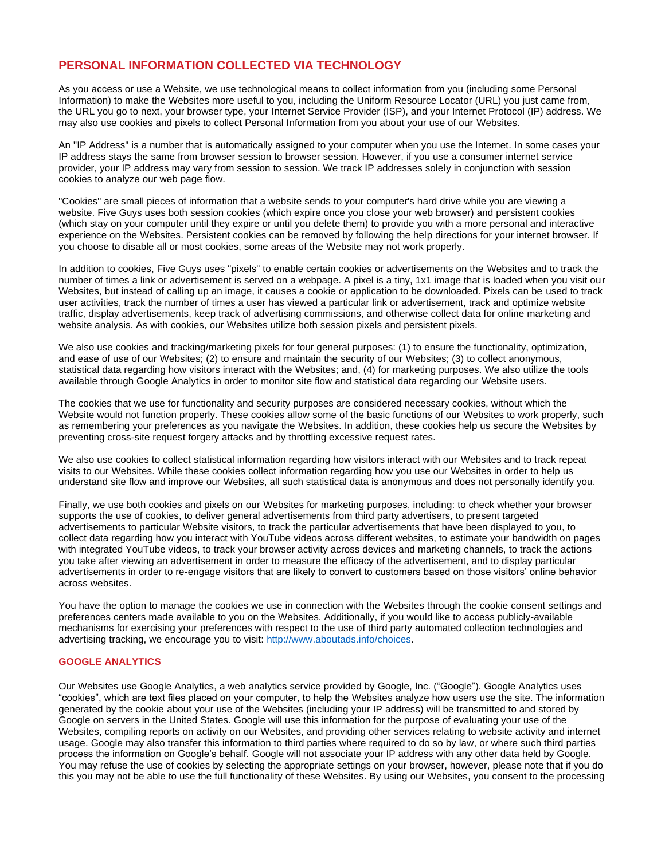# **PERSONAL INFORMATION COLLECTED VIA TECHNOLOGY**

As you access or use a Website, we use technological means to collect information from you (including some Personal Information) to make the Websites more useful to you, including the Uniform Resource Locator (URL) you just came from, the URL you go to next, your browser type, your Internet Service Provider (ISP), and your Internet Protocol (IP) address. We may also use cookies and pixels to collect Personal Information from you about your use of our Websites.

An "IP Address" is a number that is automatically assigned to your computer when you use the Internet. In some cases your IP address stays the same from browser session to browser session. However, if you use a consumer internet service provider, your IP address may vary from session to session. We track IP addresses solely in conjunction with session cookies to analyze our web page flow.

"Cookies" are small pieces of information that a website sends to your computer's hard drive while you are viewing a website. Five Guys uses both session cookies (which expire once you close your web browser) and persistent cookies (which stay on your computer until they expire or until you delete them) to provide you with a more personal and interactive experience on the Websites. Persistent cookies can be removed by following the help directions for your internet browser. If you choose to disable all or most cookies, some areas of the Website may not work properly.

In addition to cookies, Five Guys uses "pixels" to enable certain cookies or advertisements on the Websites and to track the number of times a link or advertisement is served on a webpage. A pixel is a tiny, 1x1 image that is loaded when you visit our Websites, but instead of calling up an image, it causes a cookie or application to be downloaded. Pixels can be used to track user activities, track the number of times a user has viewed a particular link or advertisement, track and optimize website traffic, display advertisements, keep track of advertising commissions, and otherwise collect data for online marketing and website analysis. As with cookies, our Websites utilize both session pixels and persistent pixels.

We also use cookies and tracking/marketing pixels for four general purposes: (1) to ensure the functionality, optimization, and ease of use of our Websites; (2) to ensure and maintain the security of our Websites; (3) to collect anonymous, statistical data regarding how visitors interact with the Websites; and, (4) for marketing purposes. We also utilize the tools available through Google Analytics in order to monitor site flow and statistical data regarding our Website users.

The cookies that we use for functionality and security purposes are considered necessary cookies, without which the Website would not function properly. These cookies allow some of the basic functions of our Websites to work properly, such as remembering your preferences as you navigate the Websites. In addition, these cookies help us secure the Websites by preventing cross-site request forgery attacks and by throttling excessive request rates.

We also use cookies to collect statistical information regarding how visitors interact with our Websites and to track repeat visits to our Websites. While these cookies collect information regarding how you use our Websites in order to help us understand site flow and improve our Websites, all such statistical data is anonymous and does not personally identify you.

Finally, we use both cookies and pixels on our Websites for marketing purposes, including: to check whether your browser supports the use of cookies, to deliver general advertisements from third party advertisers, to present targeted advertisements to particular Website visitors, to track the particular advertisements that have been displayed to you, to collect data regarding how you interact with YouTube videos across different websites, to estimate your bandwidth on pages with integrated YouTube videos, to track your browser activity across devices and marketing channels, to track the actions you take after viewing an advertisement in order to measure the efficacy of the advertisement, and to display particular advertisements in order to re-engage visitors that are likely to convert to customers based on those visitors' online behavior across websites.

You have the option to manage the cookies we use in connection with the Websites through the cookie consent settings and preferences centers made available to you on the Websites. Additionally, if you would like to access publicly-available mechanisms for exercising your preferences with respect to the use of third party automated collection technologies and advertising tracking, we encourage you to visit: [http://www.aboutads.info/choices.](http://www.aboutads.info/choices)

### **GOOGLE ANALYTICS**

Our Websites use Google Analytics, a web analytics service provided by Google, Inc. ("Google"). Google Analytics uses "cookies", which are text files placed on your computer, to help the Websites analyze how users use the site. The information generated by the cookie about your use of the Websites (including your IP address) will be transmitted to and stored by Google on servers in the United States. Google will use this information for the purpose of evaluating your use of the Websites, compiling reports on activity on our Websites, and providing other services relating to website activity and internet usage. Google may also transfer this information to third parties where required to do so by law, or where such third parties process the information on Google's behalf. Google will not associate your IP address with any other data held by Google. You may refuse the use of cookies by selecting the appropriate settings on your browser, however, please note that if you do this you may not be able to use the full functionality of these Websites. By using our Websites, you consent to the processing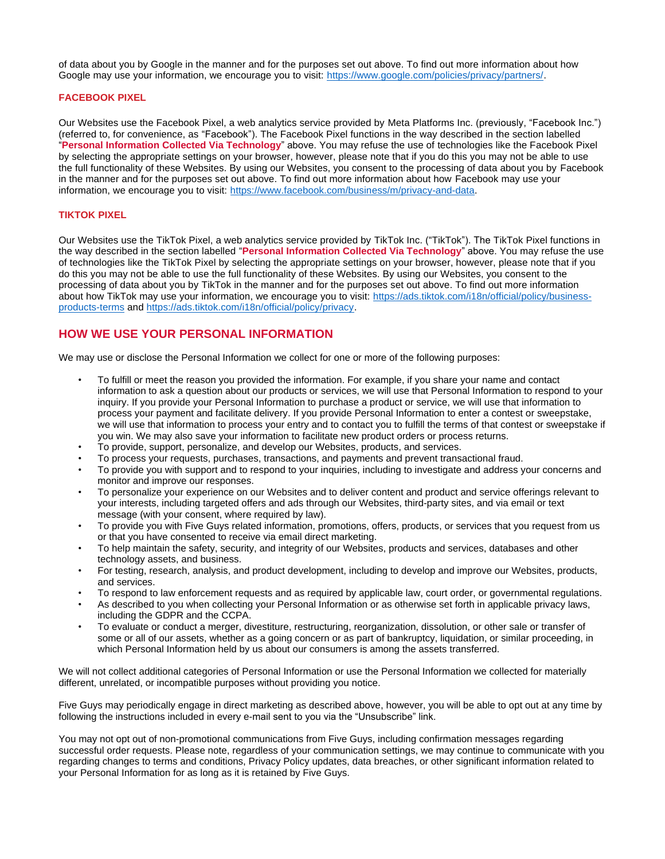of data about you by Google in the manner and for the purposes set out above. To find out more information about how Google may use your information, we encourage you to visit: [https://www.google.com/policies/privacy/partners/.](https://www.google.com/policies/privacy/partners/)

### **FACEBOOK PIXEL**

Our Websites use the Facebook Pixel, a web analytics service provided by Meta Platforms Inc. (previously, "Facebook Inc.") (referred to, for convenience, as "Facebook"). The Facebook Pixel functions in the way described in the section labelled "**Personal Information Collected Via Technology**" above. You may refuse the use of technologies like the Facebook Pixel by selecting the appropriate settings on your browser, however, please note that if you do this you may not be able to use the full functionality of these Websites. By using our Websites, you consent to the processing of data about you by Facebook in the manner and for the purposes set out above. To find out more information about how Facebook may use your information, we encourage you to visit: [https://www.facebook.com/business/m/privacy-and-data.](https://www.facebook.com/business/m/privacy-and-data) 

### **TIKTOK PIXEL**

Our Websites use the TikTok Pixel, a web analytics service provided by TikTok Inc. ("TikTok"). The TikTok Pixel functions in the way described in the section labelled "**Personal Information Collected Via Technology**" above. You may refuse the use of technologies like the TikTok Pixel by selecting the appropriate settings on your browser, however, please note that if you do this you may not be able to use the full functionality of these Websites. By using our Websites, you consent to the processing of data about you by TikTok in the manner and for the purposes set out above. To find out more information about how TikTok may use your information, we encourage you to visit: [https://ads.tiktok.com/i18n/official/policy/business](https://ads.tiktok.com/i18n/official/policy/business-products-terms)[products-terms](https://ads.tiktok.com/i18n/official/policy/business-products-terms) and [https://ads.tiktok.com/i18n/official/policy/privacy.](https://ads.tiktok.com/i18n/official/policy/privacy)

### **HOW WE USE YOUR PERSONAL INFORMATION**

We may use or disclose the Personal Information we collect for one or more of the following purposes:

- To fulfill or meet the reason you provided the information. For example, if you share your name and contact information to ask a question about our products or services, we will use that Personal Information to respond to your inquiry. If you provide your Personal Information to purchase a product or service, we will use that information to process your payment and facilitate delivery. If you provide Personal Information to enter a contest or sweepstake, we will use that information to process your entry and to contact you to fulfill the terms of that contest or sweepstake if you win. We may also save your information to facilitate new product orders or process returns.
- To provide, support, personalize, and develop our Websites, products, and services.
- To process your requests, purchases, transactions, and payments and prevent transactional fraud.
- To provide you with support and to respond to your inquiries, including to investigate and address your concerns and monitor and improve our responses.
- To personalize your experience on our Websites and to deliver content and product and service offerings relevant to your interests, including targeted offers and ads through our Websites, third-party sites, and via email or text message (with your consent, where required by law).
- To provide you with Five Guys related information, promotions, offers, products, or services that you request from us or that you have consented to receive via email direct marketing.
- To help maintain the safety, security, and integrity of our Websites, products and services, databases and other technology assets, and business.
- For testing, research, analysis, and product development, including to develop and improve our Websites, products, and services.
- To respond to law enforcement requests and as required by applicable law, court order, or governmental regulations.
- As described to you when collecting your Personal Information or as otherwise set forth in applicable privacy laws, including the GDPR and the CCPA.
- To evaluate or conduct a merger, divestiture, restructuring, reorganization, dissolution, or other sale or transfer of some or all of our assets, whether as a going concern or as part of bankruptcy, liquidation, or similar proceeding, in which Personal Information held by us about our consumers is among the assets transferred.

We will not collect additional categories of Personal Information or use the Personal Information we collected for materially different, unrelated, or incompatible purposes without providing you notice.

Five Guys may periodically engage in direct marketing as described above, however, you will be able to opt out at any time by following the instructions included in every e-mail sent to you via the "Unsubscribe" link.

You may not opt out of non-promotional communications from Five Guys, including confirmation messages regarding successful order requests. Please note, regardless of your communication settings, we may continue to communicate with you regarding changes to terms and conditions, Privacy Policy updates, data breaches, or other significant information related to your Personal Information for as long as it is retained by Five Guys.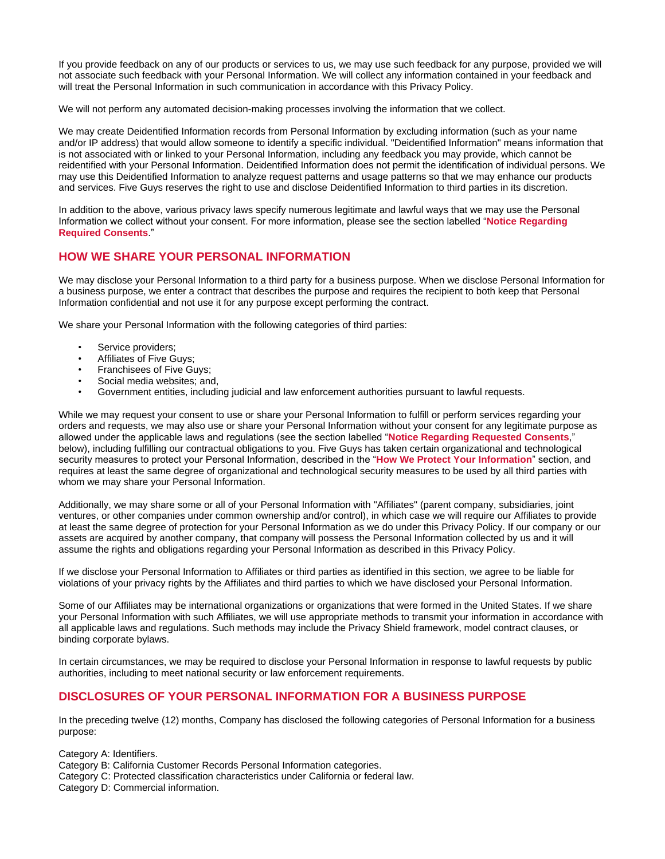If you provide feedback on any of our products or services to us, we may use such feedback for any purpose, provided we will not associate such feedback with your Personal Information. We will collect any information contained in your feedback and will treat the Personal Information in such communication in accordance with this Privacy Policy.

We will not perform any automated decision-making processes involving the information that we collect.

We may create Deidentified Information records from Personal Information by excluding information (such as your name and/or IP address) that would allow someone to identify a specific individual. "Deidentified Information" means information that is not associated with or linked to your Personal Information, including any feedback you may provide, which cannot be reidentified with your Personal Information. Deidentified Information does not permit the identification of individual persons. We may use this Deidentified Information to analyze request patterns and usage patterns so that we may enhance our products and services. Five Guys reserves the right to use and disclose Deidentified Information to third parties in its discretion.

In addition to the above, various privacy laws specify numerous legitimate and lawful ways that we may use the Personal Information we collect without your consent. For more information, please see the section labelled "**Notice Regarding Required Consents**."

# **HOW WE SHARE YOUR PERSONAL INFORMATION**

We may disclose your Personal Information to a third party for a business purpose. When we disclose Personal Information for a business purpose, we enter a contract that describes the purpose and requires the recipient to both keep that Personal Information confidential and not use it for any purpose except performing the contract.

We share your Personal Information with the following categories of third parties:

- Service providers;
- Affiliates of Five Guys;
- Franchisees of Five Guys;
- Social media websites; and,
- Government entities, including judicial and law enforcement authorities pursuant to lawful requests.

While we may request your consent to use or share your Personal Information to fulfill or perform services regarding your orders and requests, we may also use or share your Personal Information without your consent for any legitimate purpose as allowed under the applicable laws and regulations (see the section labelled "**Notice Regarding Requested Consents**," below), including fulfilling our contractual obligations to you. Five Guys has taken certain organizational and technological security measures to protect your Personal Information, described in the "**How We Protect Your Information**" section, and requires at least the same degree of organizational and technological security measures to be used by all third parties with whom we may share your Personal Information.

Additionally, we may share some or all of your Personal Information with "Affiliates" (parent company, subsidiaries, joint ventures, or other companies under common ownership and/or control), in which case we will require our Affiliates to provide at least the same degree of protection for your Personal Information as we do under this Privacy Policy. If our company or our assets are acquired by another company, that company will possess the Personal Information collected by us and it will assume the rights and obligations regarding your Personal Information as described in this Privacy Policy.

If we disclose your Personal Information to Affiliates or third parties as identified in this section, we agree to be liable for violations of your privacy rights by the Affiliates and third parties to which we have disclosed your Personal Information.

Some of our Affiliates may be international organizations or organizations that were formed in the United States. If we share your Personal Information with such Affiliates, we will use appropriate methods to transmit your information in accordance with all applicable laws and regulations. Such methods may include the Privacy Shield framework, model contract clauses, or binding corporate bylaws.

In certain circumstances, we may be required to disclose your Personal Information in response to lawful requests by public authorities, including to meet national security or law enforcement requirements.

# **DISCLOSURES OF YOUR PERSONAL INFORMATION FOR A BUSINESS PURPOSE**

In the preceding twelve (12) months, Company has disclosed the following categories of Personal Information for a business purpose:

Category A: Identifiers.

Category B: California Customer Records Personal Information categories.

Category C: Protected classification characteristics under California or federal law.

Category D: Commercial information.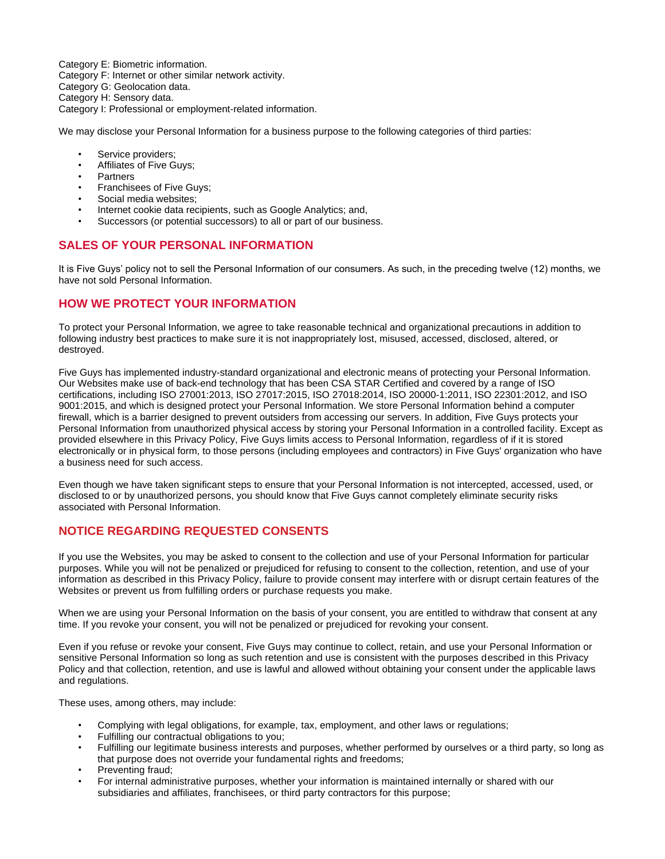Category E: Biometric information.

Category F: Internet or other similar network activity.

Category G: Geolocation data.

Category H: Sensory data.

Category I: Professional or employment-related information.

We may disclose your Personal Information for a business purpose to the following categories of third parties:

- Service providers;
- Affiliates of Five Guys;
- Partners
- Franchisees of Five Guys;
- Social media websites:
- Internet cookie data recipients, such as Google Analytics; and,
- Successors (or potential successors) to all or part of our business.

# **SALES OF YOUR PERSONAL INFORMATION**

It is Five Guys' policy not to sell the Personal Information of our consumers. As such, in the preceding twelve (12) months, we have not sold Personal Information.

# **HOW WE PROTECT YOUR INFORMATION**

To protect your Personal Information, we agree to take reasonable technical and organizational precautions in addition to following industry best practices to make sure it is not inappropriately lost, misused, accessed, disclosed, altered, or destroyed.

Five Guys has implemented industry-standard organizational and electronic means of protecting your Personal Information. Our Websites make use of back-end technology that has been CSA STAR Certified and covered by a range of ISO certifications, including ISO 27001:2013, ISO 27017:2015, ISO 27018:2014, ISO 20000-1:2011, ISO 22301:2012, and ISO 9001:2015, and which is designed protect your Personal Information. We store Personal Information behind a computer firewall, which is a barrier designed to prevent outsiders from accessing our servers. In addition, Five Guys protects your Personal Information from unauthorized physical access by storing your Personal Information in a controlled facility. Except as provided elsewhere in this Privacy Policy, Five Guys limits access to Personal Information, regardless of if it is stored electronically or in physical form, to those persons (including employees and contractors) in Five Guys' organization who have a business need for such access.

Even though we have taken significant steps to ensure that your Personal Information is not intercepted, accessed, used, or disclosed to or by unauthorized persons, you should know that Five Guys cannot completely eliminate security risks associated with Personal Information.

# **NOTICE REGARDING REQUESTED CONSENTS**

If you use the Websites, you may be asked to consent to the collection and use of your Personal Information for particular purposes. While you will not be penalized or prejudiced for refusing to consent to the collection, retention, and use of your information as described in this Privacy Policy, failure to provide consent may interfere with or disrupt certain features of the Websites or prevent us from fulfilling orders or purchase requests you make.

When we are using your Personal Information on the basis of your consent, you are entitled to withdraw that consent at any time. If you revoke your consent, you will not be penalized or prejudiced for revoking your consent.

Even if you refuse or revoke your consent, Five Guys may continue to collect, retain, and use your Personal Information or sensitive Personal Information so long as such retention and use is consistent with the purposes described in this Privacy Policy and that collection, retention, and use is lawful and allowed without obtaining your consent under the applicable laws and regulations.

These uses, among others, may include:

- Complying with legal obligations, for example, tax, employment, and other laws or regulations;
- Fulfilling our contractual obligations to you;
- Fulfilling our legitimate business interests and purposes, whether performed by ourselves or a third party, so long as that purpose does not override your fundamental rights and freedoms;
- Preventing fraud;
- For internal administrative purposes, whether your information is maintained internally or shared with our subsidiaries and affiliates, franchisees, or third party contractors for this purpose;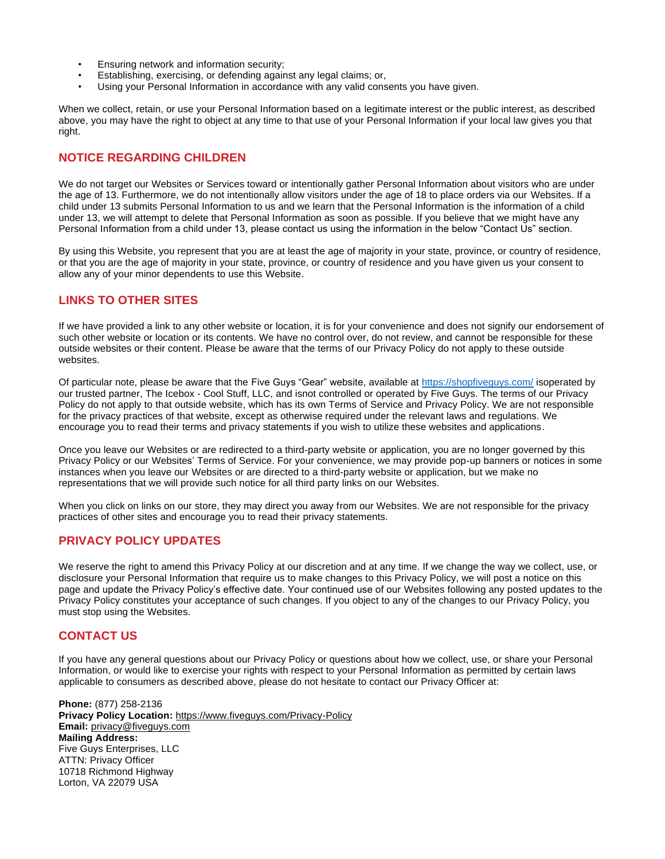- Ensuring network and information security;
- Establishing, exercising, or defending against any legal claims; or,
- Using your Personal Information in accordance with any valid consents you have given.

When we collect, retain, or use your Personal Information based on a legitimate interest or the public interest, as described above, you may have the right to object at any time to that use of your Personal Information if your local law gives you that right.

# **NOTICE REGARDING CHILDREN**

We do not target our Websites or Services toward or intentionally gather Personal Information about visitors who are under the age of 13. Furthermore, we do not intentionally allow visitors under the age of 18 to place orders via our Websites. If a child under 13 submits Personal Information to us and we learn that the Personal Information is the information of a child under 13, we will attempt to delete that Personal Information as soon as possible. If you believe that we might have any Personal Information from a child under 13, please contact us using the information in the below "Contact Us" section.

By using this Website, you represent that you are at least the age of majority in your state, province, or country of residence, or that you are the age of majority in your state, province, or country of residence and you have given us your consent to allow any of your minor dependents to use this Website.

# **LINKS TO OTHER SITES**

If we have provided a link to any other website or location, it is for your convenience and does not signify our endorsement of such other website or location or its contents. We have no control over, do not review, and cannot be responsible for these outside websites or their content. Please be aware that the terms of our Privacy Policy do not apply to these outside websites.

Of particular note, please be aware that the Five Guys "Gear" website, available at<https://shopfiveguys.com/> isoperated by our trusted partner, The Icebox - Cool Stuff, LLC, and isnot controlled or operated by Five Guys. The terms of our Privacy Policy do not apply to that outside website, which has its own Terms of Service and Privacy Policy. We are not responsible for the privacy practices of that website, except as otherwise required under the relevant laws and regulations. We encourage you to read their terms and privacy statements if you wish to utilize these websites and applications.

Once you leave our Websites or are redirected to a third-party website or application, you are no longer governed by this Privacy Policy or our Websites' Terms of Service. For your convenience, we may provide pop-up banners or notices in some instances when you leave our Websites or are directed to a third-party website or application, but we make no representations that we will provide such notice for all third party links on our Websites.

When you click on links on our store, they may direct you away from our Websites. We are not responsible for the privacy practices of other sites and encourage you to read their privacy statements.

### **PRIVACY POLICY UPDATES**

We reserve the right to amend this Privacy Policy at our discretion and at any time. If we change the way we collect, use, or disclosure your Personal Information that require us to make changes to this Privacy Policy, we will post a notice on this page and update the Privacy Policy's effective date. Your continued use of our Websites following any posted updates to the Privacy Policy constitutes your acceptance of such changes. If you object to any of the changes to our Privacy Policy, you must stop using the Websites.

# **CONTACT US**

If you have any general questions about our Privacy Policy or questions about how we collect, use, or share your Personal Information, or would like to exercise your rights with respect to your Personal Information as permitted by certain laws applicable to consumers as described above, please do not hesitate to contact our Privacy Officer at:

**Phone:** (877) 258-2136 **Privacy Policy Location:** <https://www.fiveguys.com/Privacy-Policy> **Email:** [privacy@fiveguys.com](mailto:privacy@fiveguys.com) **Mailing Address:** Five Guys Enterprises, LLC ATTN: Privacy Officer 10718 Richmond Highway Lorton, VA 22079 USA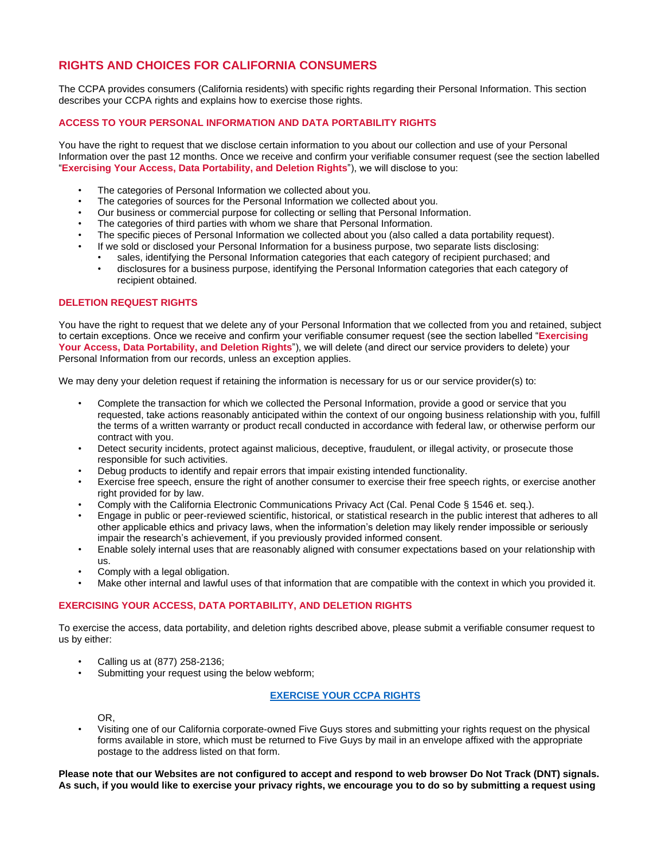# **RIGHTS AND CHOICES FOR CALIFORNIA CONSUMERS**

The CCPA provides consumers (California residents) with specific rights regarding their Personal Information. This section describes your CCPA rights and explains how to exercise those rights.

### **ACCESS TO YOUR PERSONAL INFORMATION AND DATA PORTABILITY RIGHTS**

You have the right to request that we disclose certain information to you about our collection and use of your Personal Information over the past 12 months. Once we receive and confirm your verifiable consumer request (see the section labelled "**Exercising Your Access, Data Portability, and Deletion Rights**"), we will disclose to you:

- The categories of Personal Information we collected about you.
- The categories of sources for the Personal Information we collected about you.
- Our business or commercial purpose for collecting or selling that Personal Information.
- The categories of third parties with whom we share that Personal Information.
- The specific pieces of Personal Information we collected about you (also called a data portability request).
	- If we sold or disclosed your Personal Information for a business purpose, two separate lists disclosing:
	- sales, identifying the Personal Information categories that each category of recipient purchased; and
	- disclosures for a business purpose, identifying the Personal Information categories that each category of recipient obtained.

### **DELETION REQUEST RIGHTS**

You have the right to request that we delete any of your Personal Information that we collected from you and retained, subject to certain exceptions. Once we receive and confirm your verifiable consumer request (see the section labelled "**Exercising Your Access, Data Portability, and Deletion Rights**"), we will delete (and direct our service providers to delete) your Personal Information from our records, unless an exception applies.

We may deny your deletion request if retaining the information is necessary for us or our service provider(s) to:

- Complete the transaction for which we collected the Personal Information, provide a good or service that you requested, take actions reasonably anticipated within the context of our ongoing business relationship with you, fulfill the terms of a written warranty or product recall conducted in accordance with federal law, or otherwise perform our contract with you.
- Detect security incidents, protect against malicious, deceptive, fraudulent, or illegal activity, or prosecute those responsible for such activities.
- Debug products to identify and repair errors that impair existing intended functionality.
- Exercise free speech, ensure the right of another consumer to exercise their free speech rights, or exercise another right provided for by law.
- Comply with the California Electronic Communications Privacy Act (Cal. Penal Code § 1546 et. seq.).
- Engage in public or peer-reviewed scientific, historical, or statistical research in the public interest that adheres to all other applicable ethics and privacy laws, when the information's deletion may likely render impossible or seriously impair the research's achievement, if you previously provided informed consent.
- Enable solely internal uses that are reasonably aligned with consumer expectations based on your relationship with us.
- Comply with a legal obligation.
- Make other internal and lawful uses of that information that are compatible with the context in which you provided it.

### **EXERCISING YOUR ACCESS, DATA PORTABILITY, AND DELETION RIGHTS**

To exercise the access, data portability, and deletion rights described above, please submit a verifiable consumer request to us by either:

- Calling us at (877) 258-2136;
- Submitting your request using the below webform;

### **[EXERCISE YOUR CCPA RIGHTS](https://privacyportal-cdn.onetrust.com/dsarwebform/f5fbc500-6a08-4d16-b254-c0447470bd68/4ad68166-3ca2-4811-a2f0-bbe61c453881.html)**

OR,

• Visiting one of our California corporate-owned Five Guys stores and submitting your rights request on the physical forms available in store, which must be returned to Five Guys by mail in an envelope affixed with the appropriate postage to the address listed on that form.

**Please note that our Websites are not configured to accept and respond to web browser Do Not Track (DNT) signals. As such, if you would like to exercise your privacy rights, we encourage you to do so by submitting a request using**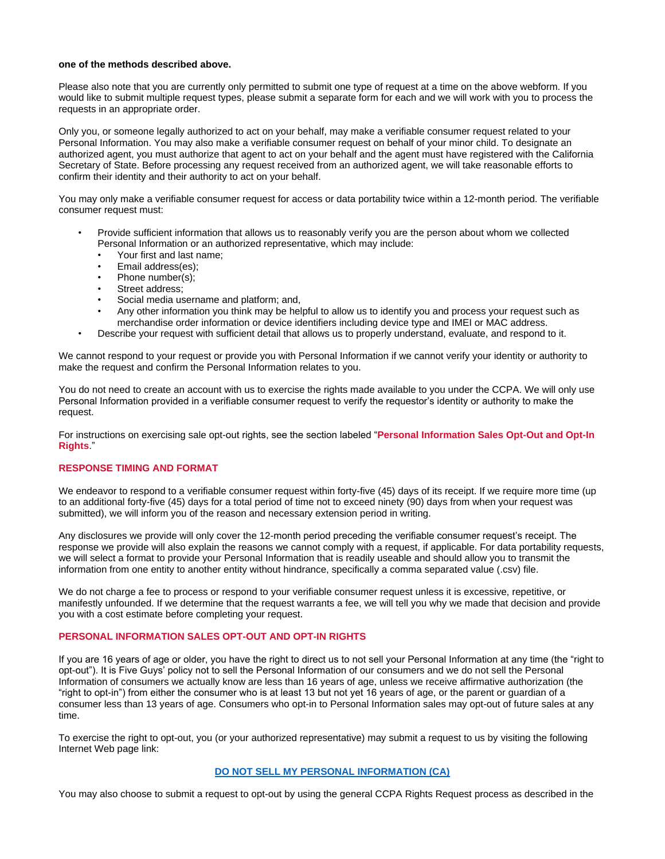#### **one of the methods described above.**

Please also note that you are currently only permitted to submit one type of request at a time on the above webform. If you would like to submit multiple request types, please submit a separate form for each and we will work with you to process the requests in an appropriate order.

Only you, or someone legally authorized to act on your behalf, may make a verifiable consumer request related to your Personal Information. You may also make a verifiable consumer request on behalf of your minor child. To designate an authorized agent, you must authorize that agent to act on your behalf and the agent must have registered with the California Secretary of State. Before processing any request received from an authorized agent, we will take reasonable efforts to confirm their identity and their authority to act on your behalf.

You may only make a verifiable consumer request for access or data portability twice within a 12-month period. The verifiable consumer request must:

- Provide sufficient information that allows us to reasonably verify you are the person about whom we collected Personal Information or an authorized representative, which may include:
	- Your first and last name;
	- Email address(es);
	- Phone number(s);
	- Street address;
	- Social media username and platform; and,
	- Any other information you think may be helpful to allow us to identify you and process your request such as merchandise order information or device identifiers including device type and IMEI or MAC address.
- Describe your request with sufficient detail that allows us to properly understand, evaluate, and respond to it.

We cannot respond to your request or provide you with Personal Information if we cannot verify your identity or authority to make the request and confirm the Personal Information relates to you.

You do not need to create an account with us to exercise the rights made available to you under the CCPA. We will only use Personal Information provided in a verifiable consumer request to verify the requestor's identity or authority to make the request.

For instructions on exercising sale opt-out rights, see the section labeled "**Personal Information Sales Opt-Out and Opt-In Rights**."

### **RESPONSE TIMING AND FORMAT**

We endeavor to respond to a verifiable consumer request within forty-five (45) days of its receipt. If we require more time (up to an additional forty-five (45) days for a total period of time not to exceed ninety (90) days from when your request was submitted), we will inform you of the reason and necessary extension period in writing.

Any disclosures we provide will only cover the 12-month period preceding the verifiable consumer request's receipt. The response we provide will also explain the reasons we cannot comply with a request, if applicable. For data portability requests, we will select a format to provide your Personal Information that is readily useable and should allow you to transmit the information from one entity to another entity without hindrance, specifically a comma separated value (.csv) file.

We do not charge a fee to process or respond to your verifiable consumer request unless it is excessive, repetitive, or manifestly unfounded. If we determine that the request warrants a fee, we will tell you why we made that decision and provide you with a cost estimate before completing your request.

#### **PERSONAL INFORMATION SALES OPT-OUT AND OPT-IN RIGHTS**

If you are 16 years of age or older, you have the right to direct us to not sell your Personal Information at any time (the "right to opt-out"). It is Five Guys' policy not to sell the Personal Information of our consumers and we do not sell the Personal Information of consumers we actually know are less than 16 years of age, unless we receive affirmative authorization (the "right to opt-in") from either the consumer who is at least 13 but not yet 16 years of age, or the parent or guardian of a consumer less than 13 years of age. Consumers who opt-in to Personal Information sales may opt-out of future sales at any time.

To exercise the right to opt-out, you (or your authorized representative) may submit a request to us by visiting the following Internet Web page link:

### **[DO NOT SELL MY PERSONAL INFORMATION \(CA\)](https://privacyportal-cdn.onetrust.com/dsarwebform/f5fbc500-6a08-4d16-b254-c0447470bd68/ec9202a6-8d35-42ee-9292-5ac5e3209f03.html)**

You may also choose to submit a request to opt-out by using the general CCPA Rights Request process as described in the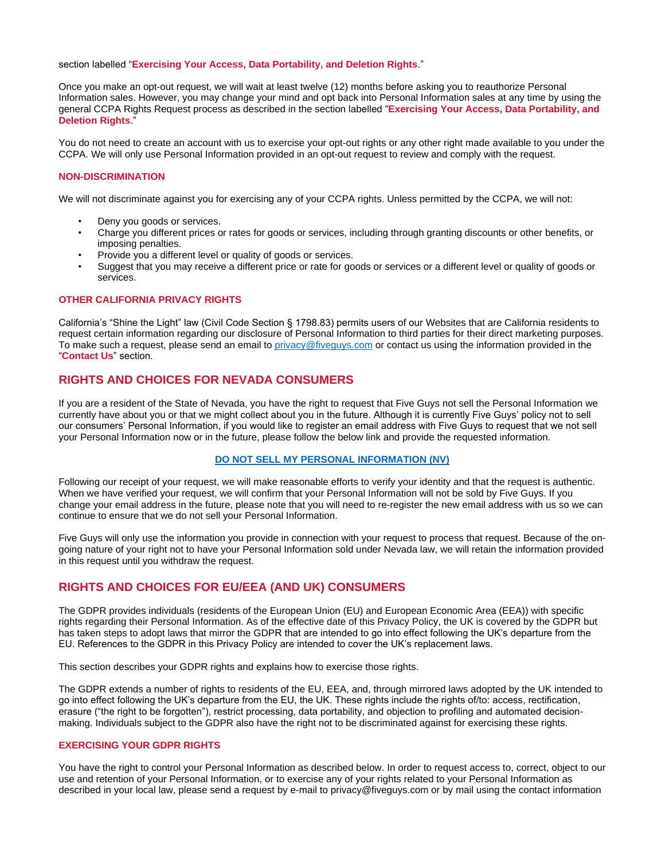section labelled "**Exercising Your Access, Data Portability, and Deletion Rights**."

Once you make an opt-out request, we will wait at least twelve (12) months before asking you to reauthorize Personal Information sales. However, you may change your mind and opt back into Personal Information sales at any time by using the general CCPA Rights Request process as described in the section labelled "**Exercising Your Access, Data Portability, and Deletion Rights**."

You do not need to create an account with us to exercise your opt-out rights or any other right made available to you under the CCPA. We will only use Personal Information provided in an opt-out request to review and comply with the request.

#### **NON-DISCRIMINATION**

We will not discriminate against you for exercising any of your CCPA rights. Unless permitted by the CCPA, we will not:

- Deny you goods or services.
- Charge you different prices or rates for goods or services, including through granting discounts or other benefits, or imposing penalties.
- Provide you a different level or quality of goods or services.
- Suggest that you may receive a different price or rate for goods or services or a different level or quality of goods or services.

### **OTHER CALIFORNIA PRIVACY RIGHTS**

California's "Shine the Light" law (Civil Code Section § 1798.83) permits users of our Websites that are California residents to request certain information regarding our disclosure of Personal Information to third parties for their direct marketing purposes. To make such a request, please send an email to [privacy@fiveguys.com](mailto:privacy@fiveguys.com) or contact us using the information provided in the "**Contact Us**" section.

### **RIGHTS AND CHOICES FOR NEVADA CONSUMERS**

If you are a resident of the State of Nevada, you have the right to request that Five Guys not sell the Personal Information we currently have about you or that we might collect about you in the future. Although it is currently Five Guys' policy not to sell our consumers' Personal Information, if you would like to register an email address with Five Guys to request that we not sell your Personal Information now or in the future, please follow the below link and provide the requested information.

### **[DO NOT SELL MY PERSONAL INFORMATION \(NV\)](https://privacyportal-cdn.onetrust.com/dsarwebform/f5fbc500-6a08-4d16-b254-c0447470bd68/37ba8f13-89ff-47bb-a0e4-5347c68ef291.html)**

Following our receipt of your request, we will make reasonable efforts to verify your identity and that the request is authentic. When we have verified your request, we will confirm that your Personal Information will not be sold by Five Guys. If you change your email address in the future, please note that you will need to re-register the new email address with us so we can continue to ensure that we do not sell your Personal Information.

Five Guys will only use the information you provide in connection with your request to process that request. Because of the ongoing nature of your right not to have your Personal Information sold under Nevada law, we will retain the information provided in this request until you withdraw the request.

### **RIGHTS AND CHOICES FOR EU/EEA (AND UK) CONSUMERS**

The GDPR provides individuals (residents of the European Union (EU) and European Economic Area (EEA)) with specific rights regarding their Personal Information. As of the effective date of this Privacy Policy, the UK is covered by the GDPR but has taken steps to adopt laws that mirror the GDPR that are intended to go into effect following the UK's departure from the EU. References to the GDPR in this Privacy Policy are intended to cover the UK's replacement laws.

This section describes your GDPR rights and explains how to exercise those rights.

The GDPR extends a number of rights to residents of the EU, EEA, and, through mirrored laws adopted by the UK intended to go into effect following the UK's departure from the EU, the UK. These rights include the rights of/to: access, rectification, erasure ("the right to be forgotten"), restrict processing, data portability, and objection to profiling and automated decisionmaking. Individuals subject to the GDPR also have the right not to be discriminated against for exercising these rights.

### **EXERCISING YOUR GDPR RIGHTS**

You have the right to control your Personal Information as described below. In order to request access to, correct, object to our use and retention of your Personal Information, or to exercise any of your rights related to your Personal Information as described in your local law, please send a request by e-mail to privacy@fiveguys.com or by mail using the contact information